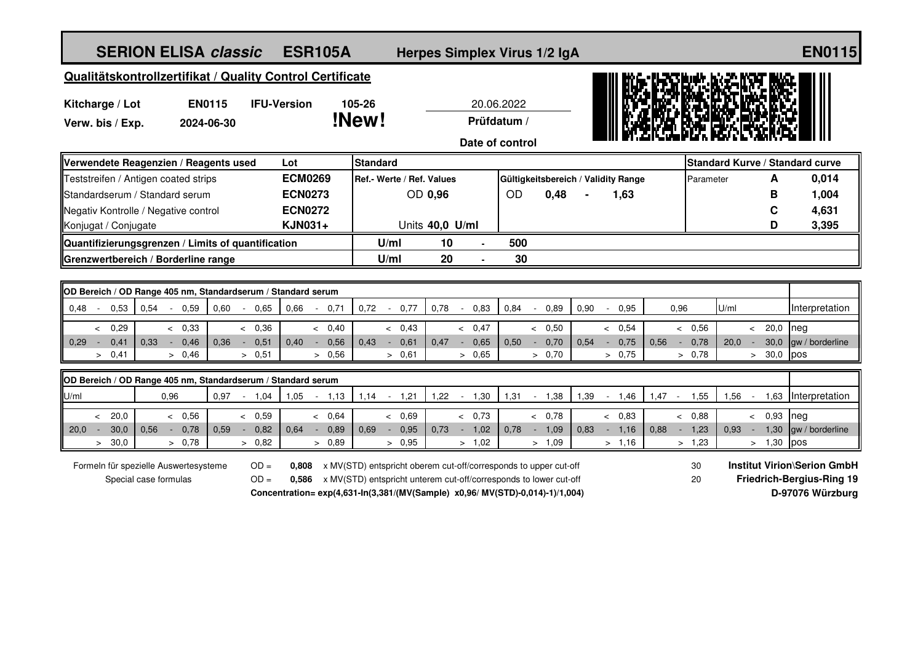| <b>SERION ELISA classic</b>                                                        | <b>ESR105A</b>                                   |                                                                                                                                       | Herpes Simplex Virus 1/2 IgA |                                     |                        |                                 | <b>EN0115</b>                      |
|------------------------------------------------------------------------------------|--------------------------------------------------|---------------------------------------------------------------------------------------------------------------------------------------|------------------------------|-------------------------------------|------------------------|---------------------------------|------------------------------------|
| Qualitätskontrollzertifikat / Quality Control Certificate                          |                                                  |                                                                                                                                       |                              |                                     |                        |                                 |                                    |
| <b>EN0115</b><br>Kitcharge / Lot                                                   | <b>IFU-Version</b><br>105-26                     |                                                                                                                                       | 20.06.2022                   |                                     |                        |                                 |                                    |
| Verw. bis / Exp.<br>2024-06-30                                                     | !New!                                            |                                                                                                                                       | Prüfdatum /                  |                                     |                        |                                 |                                    |
|                                                                                    |                                                  |                                                                                                                                       | Date of control              |                                     |                        |                                 |                                    |
| Verwendete Reagenzien / Reagents used                                              | <b>Standard</b><br>Lot                           |                                                                                                                                       |                              |                                     |                        | Standard Kurve / Standard curve |                                    |
| Teststreifen / Antigen coated strips                                               | <b>ECM0269</b>                                   | Ref.- Werte / Ref. Values                                                                                                             |                              | Gültigkeitsbereich / Validity Range |                        | A<br>Parameter                  | 0,014                              |
| Standardserum / Standard serum                                                     | <b>ECN0273</b>                                   | OD 0,96                                                                                                                               | <b>OD</b>                    | 0,48                                | 1,63                   | в                               | 1,004                              |
| Negativ Kontrolle / Negative control                                               | <b>ECN0272</b>                                   |                                                                                                                                       |                              |                                     |                        | C                               | 4,631                              |
| Konjugat / Conjugate                                                               | <b>KJN031+</b>                                   | Units 40,0 U/ml                                                                                                                       |                              |                                     |                        | D                               | 3,395                              |
| Quantifizierungsgrenzen / Limits of quantification                                 |                                                  | 10<br>U/ml                                                                                                                            | 500                          |                                     |                        |                                 |                                    |
| Grenzwertbereich / Borderline range                                                |                                                  | 20<br>U/ml                                                                                                                            | 30                           |                                     |                        |                                 |                                    |
|                                                                                    |                                                  |                                                                                                                                       |                              |                                     |                        |                                 |                                    |
| OD Bereich / OD Range 405 nm, Standardserum / Standard serum                       |                                                  |                                                                                                                                       |                              |                                     |                        |                                 |                                    |
| $0.48 -$<br>0.53<br>0,54<br>0,59<br>0,60<br>$-0.65$<br>$\sim$                      | 0.66<br>0,71<br>0,72<br>$\overline{\phantom{a}}$ | 0,77<br>0,78<br>$\sim$ $-$<br>$\overline{\phantom{a}}$                                                                                | 0,84<br>0.83                 | 0,90<br>0.89<br>$\sim$              | 0.95<br>0,96           | U/ml                            | Interpretation                     |
| 0,29<br>< 0.33<br>< 0.36<br>$\overline{\phantom{a}}$                               | < 0.40                                           | < 0.43                                                                                                                                | < 0.47                       | & 0.50                              | & 0.54                 | & 0,56<br>20,0<br>$\prec$       | Ineg                               |
| 0,29<br>0,41<br>0.33<br>0,46<br>0.36<br>0,51<br>$\sim$<br>$\sim$<br>$\sim$         | 0,40<br>0,56<br>0.43<br>$\sim$                   | 0,47<br>0,61<br>$\sim$<br>$\sim$                                                                                                      | 0,65<br>0.50<br>$\sim$       | 0,70<br>0.54<br>$\sim$              | 0,75<br>0,56<br>$\sim$ | 30,0<br>0,78<br>20.0            | gw / borderline                    |
| > 0,41<br>> 0,46<br>> 0,51                                                         | > 0,56                                           | > 0,61                                                                                                                                | > 0,65                       | > 0,70                              | > 0,75                 | > 0,78<br>30,0<br>$\geq$        | pos                                |
| OD Bereich / OD Range 405 nm, Standardserum / Standard serum                       |                                                  |                                                                                                                                       |                              |                                     |                        |                                 |                                    |
| U/ml<br>0.96<br>$0.97 - 1.04$                                                      | $-1,13$<br>1,05                                  | $1,14 - 1,21$<br>1,22                                                                                                                 | $-1,30$<br>1,31              | $-1,38$<br>1,39<br>$\sim$           | 1,46<br>$1,47 -$       | 1,55<br>1,56<br>1,63<br>$\sim$  | Interpretation                     |
| 20,0<br>& 0,56<br>& 0,59<br>$\lt$                                                  | < 0,64                                           | < 0.69                                                                                                                                | & 0.73                       | & 0.78                              | & 0.83                 | < 0,93<br>< 0.88                | neg                                |
| 0,78<br>20,0<br>30,0<br>0.56<br>0.59<br>0.82<br>$\sim$<br>$\sim$<br>۰.             | 0,89<br>0.64<br>0.69                             | 0,95<br>0.73<br>$\sim$<br>$\sim$                                                                                                      | 1,02<br>0.78<br>$\sim$       | 1,09<br>0.83<br>$\sim$              | 1.16<br>0.88<br>$\sim$ | 1,30<br>1.23<br>0.93            | gw / borderline                    |
| > 30,0<br>> 0.78<br>> 0.82                                                         | > 0.89                                           | > 0.95                                                                                                                                | > 1,02                       | > 1,09                              | > 1,16                 | $> 1,30$ pos<br>> 1,23          |                                    |
|                                                                                    |                                                  |                                                                                                                                       |                              |                                     |                        |                                 | <b>Institut Virion\Serion GmbH</b> |
| $OD =$<br>Formeln für spezielle Auswertesysteme<br>$OD =$<br>Special case formulas | 0.808<br>0.586                                   | x MV(STD) entspricht oberem cut-off/corresponds to upper cut-off<br>x MV(STD) entspricht unterem cut-off/corresponds to lower cut-off |                              |                                     |                        | 30<br>20                        | Friedrich-Bergius-Ring 19          |
|                                                                                    |                                                  | Concentration= exp(4,631-ln(3,381/(MV(Sample) x0,96/ MV(STD)-0,014)-1)/1,004)                                                         |                              |                                     |                        |                                 | D-97076 Würzburg                   |
|                                                                                    |                                                  |                                                                                                                                       |                              |                                     |                        |                                 |                                    |
|                                                                                    |                                                  |                                                                                                                                       |                              |                                     |                        |                                 |                                    |